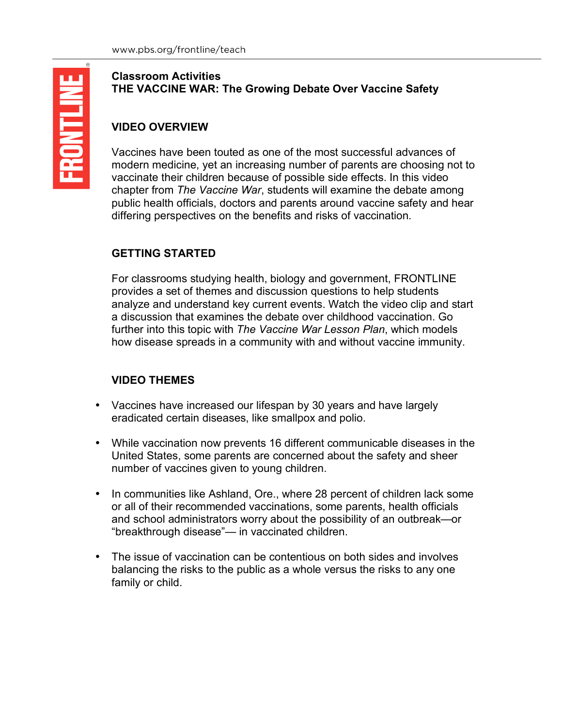## **VIDEO OVERVIEW**

Vaccines have been touted as one of the most successful advances of modern medicine, yet an increasing number of parents are choosing not to vaccinate their children because of possible side effects. In this video chapter from *The Vaccine War*, students will examine the debate among public health officials, doctors and parents around vaccine safety and hear differing perspectives on the benefits and risks of vaccination.

# **GETTING STARTED**

For classrooms studying health, biology and government, FRONTLINE provides a set of themes and discussion questions to help students analyze and understand key current events. Watch the video clip and start a discussion that examines the debate over childhood vaccination. Go further into this topic with *The Vaccine War Lesson Plan*, which models how disease spreads in a community with and without vaccine immunity.

# **VIDEO THEMES**

- Vaccines have increased our lifespan by 30 years and have largely eradicated certain diseases, like smallpox and polio.
- While vaccination now prevents 16 different communicable diseases in the United States, some parents are concerned about the safety and sheer number of vaccines given to young children.
- In communities like Ashland, Ore., where 28 percent of children lack some or all of their recommended vaccinations, some parents, health officials and school administrators worry about the possibility of an outbreak—or "breakthrough disease"— in vaccinated children.
- The issue of vaccination can be contentious on both sides and involves balancing the risks to the public as a whole versus the risks to any one family or child.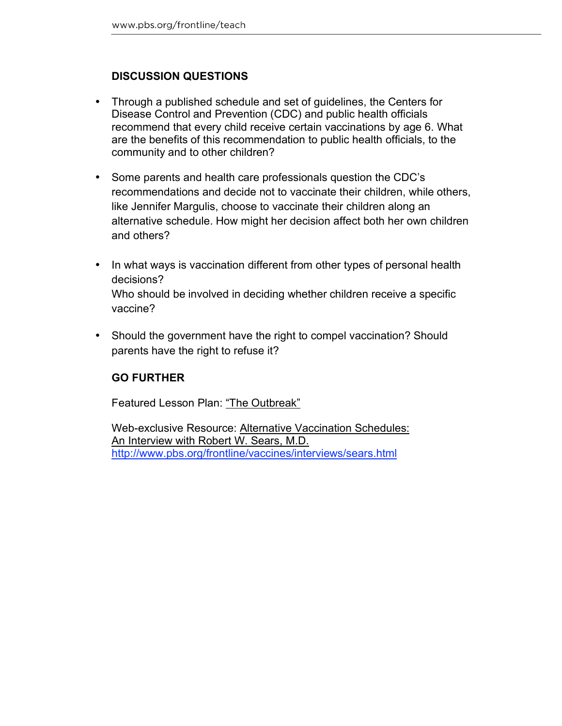## **DISCUSSION QUESTIONS**

- Through a published schedule and set of guidelines, the Centers for Disease Control and Prevention (CDC) and public health officials recommend that every child receive certain vaccinations by age 6. What are the benefits of this recommendation to public health officials, to the community and to other children?
- Some parents and health care professionals question the CDC's recommendations and decide not to vaccinate their children, while others, like Jennifer Margulis, choose to vaccinate their children along an alternative schedule. How might her decision affect both her own children and others?
- In what ways is vaccination different from other types of personal health decisions? Who should be involved in deciding whether children receive a specific vaccine?
- Should the government have the right to compel vaccination? Should parents have the right to refuse it?

## **GO FURTHER**

Featured Lesson Plan: "The Outbreak"

Web-exclusive Resource: Alternative Vaccination Schedules: An Interview with Robert W. Sears, M.D. http://www.pbs.org/frontline/vaccines/interviews/sears.html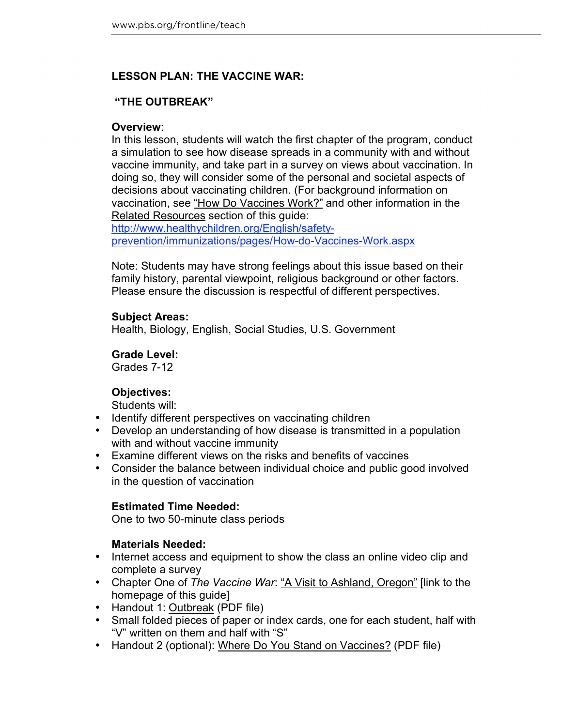## **LESSON PLAN: THE VACCINE WAR:**

## **"THE OUTBREAK"**

#### **Overview**:

In this lesson, students will watch the first chapter of the program, conduct a simulation to see how disease spreads in a community with and without vaccine immunity, and take part in a survey on views about vaccination. In doing so, they will consider some of the personal and societal aspects of decisions about vaccinating children. (For background information on vaccination, see "How Do Vaccines Work?" and other information in the Related Resources section of this guide:

http://www.healthychildren.org/English/safetyprevention/immunizations/pages/How-do-Vaccines-Work.aspx

Note: Students may have strong feelings about this issue based on their family history, parental viewpoint, religious background or other factors. Please ensure the discussion is respectful of different perspectives.

### **Subject Areas:**

Health, Biology, English, Social Studies, U.S. Government

### **Grade Level:**

Grades 7-12

### **Objectives:**

Students will:

- Identify different perspectives on vaccinating children
- Develop an understanding of how disease is transmitted in a population with and without vaccine immunity
- Examine different views on the risks and benefits of vaccines
- Consider the balance between individual choice and public good involved in the question of vaccination

### **Estimated Time Needed:**

One to two 50-minute class periods

## **Materials Needed:**

- Internet access and equipment to show the class an online video clip and complete a survey
- Chapter One of *The Vaccine War*: "A Visit to Ashland, Oregon" [link to the homepage of this guide]
- Handout 1: Outbreak (PDF file)
- Small folded pieces of paper or index cards, one for each student, half with "V" written on them and half with "S"
- Handout 2 (optional): Where Do You Stand on Vaccines? (PDF file)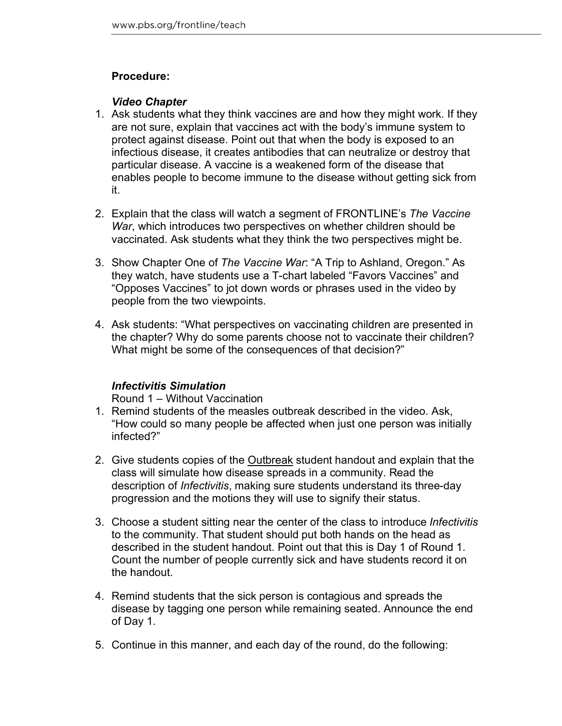### **Procedure:**

#### *Video Chapter*

- 1. Ask students what they think vaccines are and how they might work. If they are not sure, explain that vaccines act with the body's immune system to protect against disease. Point out that when the body is exposed to an infectious disease, it creates antibodies that can neutralize or destroy that particular disease. A vaccine is a weakened form of the disease that enables people to become immune to the disease without getting sick from it.
- 2. Explain that the class will watch a segment of FRONTLINE's *The Vaccine War*, which introduces two perspectives on whether children should be vaccinated. Ask students what they think the two perspectives might be.
- 3. Show Chapter One of *The Vaccine War*: "A Trip to Ashland, Oregon." As they watch, have students use a T-chart labeled "Favors Vaccines" and "Opposes Vaccines" to jot down words or phrases used in the video by people from the two viewpoints.
- 4. Ask students: "What perspectives on vaccinating children are presented in the chapter? Why do some parents choose not to vaccinate their children? What might be some of the consequences of that decision?"

### *Infectivitis Simulation*

Round 1 – Without Vaccination

- 1. Remind students of the measles outbreak described in the video. Ask, "How could so many people be affected when just one person was initially infected?"
- 2. Give students copies of the Outbreak student handout and explain that the class will simulate how disease spreads in a community. Read the description of *Infectivitis*, making sure students understand its three-day progression and the motions they will use to signify their status.
- 3. Choose a student sitting near the center of the class to introduce *Infectivitis* to the community. That student should put both hands on the head as described in the student handout. Point out that this is Day 1 of Round 1. Count the number of people currently sick and have students record it on the handout.
- 4. Remind students that the sick person is contagious and spreads the disease by tagging one person while remaining seated. Announce the end of Day 1.
- 5. Continue in this manner, and each day of the round, do the following: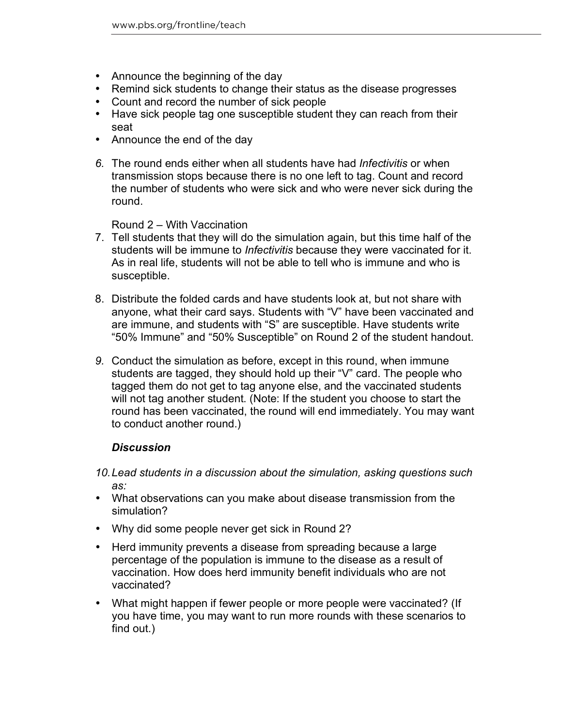- Announce the beginning of the day
- Remind sick students to change their status as the disease progresses
- Count and record the number of sick people
- Have sick people tag one susceptible student they can reach from their seat
- Announce the end of the day
- *6.* The round ends either when all students have had *Infectivitis* or when transmission stops because there is no one left to tag. Count and record the number of students who were sick and who were never sick during the round.

Round 2 – With Vaccination

- 7. Tell students that they will do the simulation again, but this time half of the students will be immune to *Infectivitis* because they were vaccinated for it. As in real life, students will not be able to tell who is immune and who is susceptible.
- 8. Distribute the folded cards and have students look at, but not share with anyone, what their card says. Students with "V" have been vaccinated and are immune, and students with "S" are susceptible. Have students write "50% Immune" and "50% Susceptible" on Round 2 of the student handout.
- *9.* Conduct the simulation as before, except in this round, when immune students are tagged, they should hold up their "V" card. The people who tagged them do not get to tag anyone else, and the vaccinated students will not tag another student. (Note: If the student you choose to start the round has been vaccinated, the round will end immediately. You may want to conduct another round.)

### *Discussion*

- *10.Lead students in a discussion about the simulation, asking questions such as:*
- What observations can you make about disease transmission from the simulation?
- Why did some people never get sick in Round 2?
- Herd immunity prevents a disease from spreading because a large percentage of the population is immune to the disease as a result of vaccination. How does herd immunity benefit individuals who are not vaccinated?
- What might happen if fewer people or more people were vaccinated? (If you have time, you may want to run more rounds with these scenarios to find out.)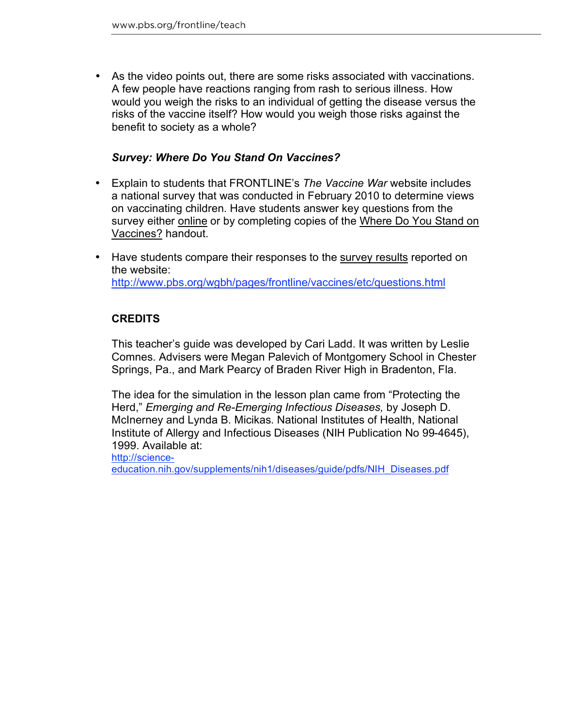As the video points out, there are some risks associated with vaccinations. A few people have reactions ranging from rash to serious illness. How would you weigh the risks to an individual of getting the disease versus the risks of the vaccine itself? How would you weigh those risks against the benefit to society as a whole?

### *Survey: Where Do You Stand On Vaccines?*

- Explain to students that FRONTLINE's *The Vaccine War* website includes a national survey that was conducted in February 2010 to determine views on vaccinating children. Have students answer key questions from the survey either online or by completing copies of the Where Do You Stand on Vaccines? handout.
- Have students compare their responses to the survey results reported on the website: http://www.pbs.org/wgbh/pages/frontline/vaccines/etc/questions.html

## **CREDITS**

This teacher's guide was developed by Cari Ladd. It was written by Leslie Comnes. Advisers were Megan Palevich of Montgomery School in Chester Springs, Pa., and Mark Pearcy of Braden River High in Bradenton, Fla.

The idea for the simulation in the lesson plan came from "Protecting the Herd," *Emerging and Re-Emerging Infectious Diseases,* by Joseph D. McInerney and Lynda B. Micikas. National Institutes of Health, National Institute of Allergy and Infectious Diseases (NIH Publication No 99-4645), 1999. Available at:

http://scienceeducation.nih.gov/supplements/nih1/diseases/guide/pdfs/NIH\_Diseases.pdf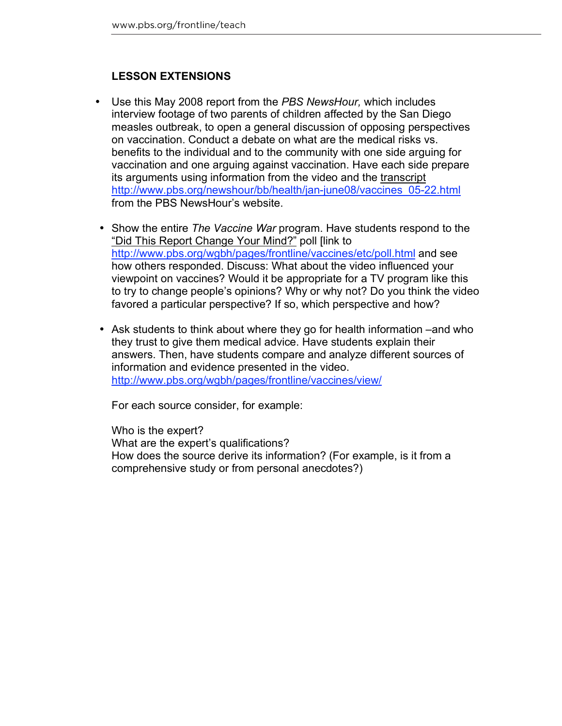## **LESSON EXTENSIONS**

- Use this May 2008 report from the *PBS NewsHour,* which includes interview footage of two parents of children affected by the San Diego measles outbreak, to open a general discussion of opposing perspectives on vaccination. Conduct a debate on what are the medical risks vs. benefits to the individual and to the community with one side arguing for vaccination and one arguing against vaccination. Have each side prepare its arguments using information from the video and the transcript http://www.pbs.org/newshour/bb/health/jan-june08/vaccines\_05-22.html from the PBS NewsHour's website.
- Show the entire *The Vaccine War* program. Have students respond to the "Did This Report Change Your Mind?" poll [link to http://www.pbs.org/wgbh/pages/frontline/vaccines/etc/poll.html and see how others responded. Discuss: What about the video influenced your viewpoint on vaccines? Would it be appropriate for a TV program like this to try to change people's opinions? Why or why not? Do you think the video favored a particular perspective? If so, which perspective and how?
- Ask students to think about where they go for health information –and who they trust to give them medical advice. Have students explain their answers. Then, have students compare and analyze different sources of information and evidence presented in the video. http://www.pbs.org/wgbh/pages/frontline/vaccines/view/

For each source consider, for example:

Who is the expert? What are the expert's qualifications? How does the source derive its information? (For example, is it from a comprehensive study or from personal anecdotes?)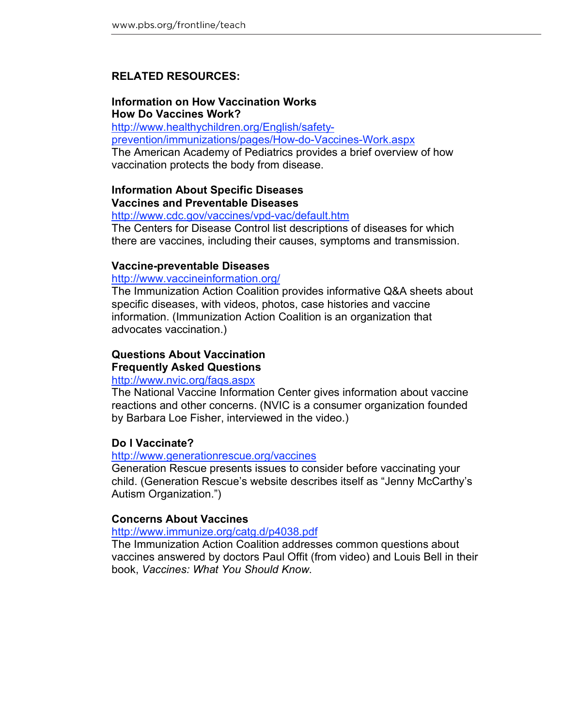### **RELATED RESOURCES:**

#### **Information on How Vaccination Works How Do Vaccines Work?**

http://www.healthychildren.org/English/safetyprevention/immunizations/pages/How-do-Vaccines-Work.aspx The American Academy of Pediatrics provides a brief overview of how vaccination protects the body from disease.

## **Information About Specific Diseases Vaccines and Preventable Diseases**

http://www.cdc.gov/vaccines/vpd-vac/default.htm

The Centers for Disease Control list descriptions of diseases for which there are vaccines, including their causes, symptoms and transmission.

#### **Vaccine-preventable Diseases**

http://www.vaccineinformation.org/

The Immunization Action Coalition provides informative Q&A sheets about specific diseases, with videos, photos, case histories and vaccine information. (Immunization Action Coalition is an organization that advocates vaccination.)

### **Questions About Vaccination Frequently Asked Questions**

#### http://www.nvic.org/faqs.aspx

The National Vaccine Information Center gives information about vaccine reactions and other concerns. (NVIC is a consumer organization founded by Barbara Loe Fisher, interviewed in the video.)

#### **Do I Vaccinate?**

#### http://www.generationrescue.org/vaccines

Generation Rescue presents issues to consider before vaccinating your child. (Generation Rescue's website describes itself as "Jenny McCarthy's Autism Organization.")

#### **Concerns About Vaccines**

#### http://www.immunize.org/catg.d/p4038.pdf

The Immunization Action Coalition addresses common questions about vaccines answered by doctors Paul Offit (from video) and Louis Bell in their book, *Vaccines: What You Should Know*.